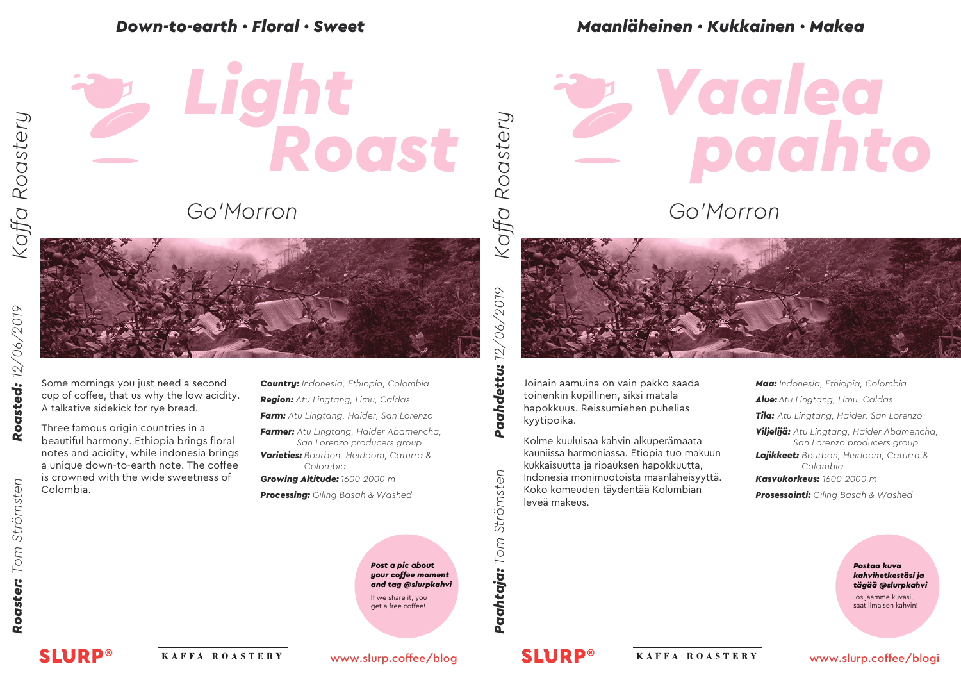



Some mornings you just need a second cup of coffee, that us why the low acidity. A talkative sidekick for rye bread.

Three famous origin countries in a beautiful harmony. Ethiopia brings floral notes and acidity, while indonesia brings a unique down-to-earth note. The coffee is crowned with the wide sweetness of Colombia.

*Country: Indonesia, Ethiopia, Colombia*

*Region: Atu Lingtang, Limu, Caldas*

*Farm: Atu Lingtang, Haider, San Lorenzo*

*Farmer: Atu Lingtang, Haider Abamencha, San Lorenzo producers group*

*Varieties: Bourbon, Heirloom, Caturra & Colombia*

*Growing Altitude: 1600-2000 m*

*Processing: Giling Basah & Washed*

*Post a pic about your coffee moment and tag @slurpkahvi* If we share it, you get a free coffee!

#### *Down-to-earth · Floral · Sweet Maanläheinen · Kukkainen · Makea*

### *paahto Vaalea*

*Go'Morron*



Joinain aamuina on vain pakko saada toinenkin kupillinen, siksi matala hapokkuus. Reissumiehen puhelias kyytipoika.

Kolme kuuluisaa kahvin alkuperämaata kauniissa harmoniassa. Etiopia tuo makuun kukkaisuutta ja ripauksen hapokkuutta, Indonesia monimuotoista maanläheisyyttä. Koko komeuden täydentää Kolumbian leveä makeus.

*Maa: Indonesia, Ethiopia, Colombia Alue:Atu Lingtang, Limu, Caldas Tila: Atu Lingtang, Haider, San Lorenzo Viljelijä: Atu Lingtang, Haider Abamencha, San Lorenzo producers group Lajikkeet: Bourbon, Heirloom, Caturra & Colombia Kasvukorkeus: 1600-2000 m Prosessointi: Giling Basah & Washed*

> *Postaa kuva kahvihetkestäsi ja tägää @slurpkahvi*

Jos jaamme kuvasi, saat ilmaisen kahvin!

*Kaffa Roastery*

Kaffa Roastery

**SLURP®** 

KAFFA ROASTERY

www.slurp.coffee/blog

Paahtaja: Tom Strömsten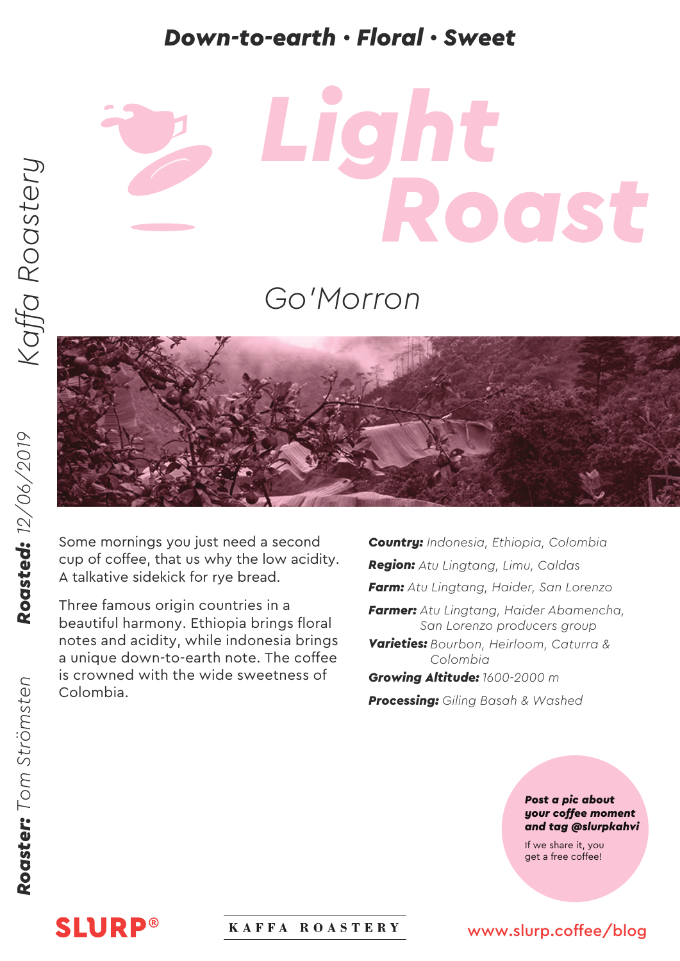#### *Down-to-earth · Floral · Sweet Maanläheinen · Kukkainen · Makea*

# *Roast Light*

#### *Go'Morron*



Some mornings you just need a second cup of coffee, that us why the low acidity. A talkative sidekick for rye bread.

Three famous origin countries in a beautiful harmony. Ethiopia brings floral notes and acidity, while indonesia brings a unique down-to-earth note. The coffee is crowned with the wide sweetness of Colombia.

*Country: Indonesia, Ethiopia, Colombia Region: Atu Lingtang, Limu, Caldas Farm: Atu Lingtang, Haider, San Lorenzo Farmer: Atu Lingtang, Haider Abamencha, San Lorenzo producers group*

*Varieties: Bourbon, Heirloom, Caturra & Colombia*

*Growing Altitude: 1600-2000 m Processing: Giling Basah & Washed*

> *Post a pic about your coffee moment and tag @slurpkahvi*

If we share it, you get a free coffee!

**SLURP®** 

#### KAFFA ROASTERY

#### www.slurp.coffee/blog